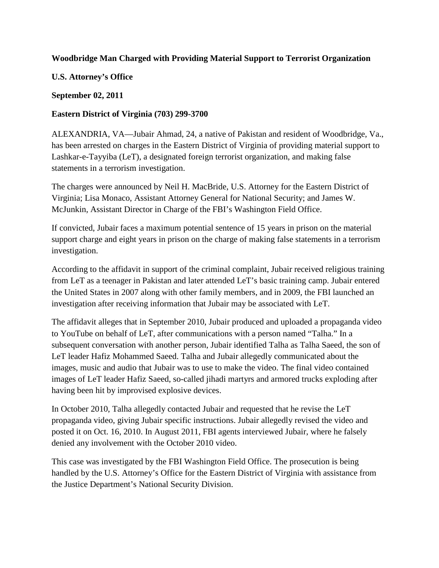## **Woodbridge Man Charged with Providing Material Support to Terrorist Organization**

**U.S. Attorney's Office**

## **September 02, 2011**

## **Eastern District of Virginia (703) 299-3700**

ALEXANDRIA, VA—Jubair Ahmad, 24, a native of Pakistan and resident of Woodbridge, Va., has been arrested on charges in the Eastern District of Virginia of providing material support to Lashkar-e-Tayyiba (LeT), a designated foreign terrorist organization, and making false statements in a terrorism investigation.

The charges were announced by Neil H. MacBride, U.S. Attorney for the Eastern District of Virginia; Lisa Monaco, Assistant Attorney General for National Security; and James W. McJunkin, Assistant Director in Charge of the FBI's Washington Field Office.

If convicted, Jubair faces a maximum potential sentence of 15 years in prison on the material support charge and eight years in prison on the charge of making false statements in a terrorism investigation.

According to the affidavit in support of the criminal complaint, Jubair received religious training from LeT as a teenager in Pakistan and later attended LeT's basic training camp. Jubair entered the United States in 2007 along with other family members, and in 2009, the FBI launched an investigation after receiving information that Jubair may be associated with LeT.

The affidavit alleges that in September 2010, Jubair produced and uploaded a propaganda video to YouTube on behalf of LeT, after communications with a person named "Talha." In a subsequent conversation with another person, Jubair identified Talha as Talha Saeed, the son of LeT leader Hafiz Mohammed Saeed. Talha and Jubair allegedly communicated about the images, music and audio that Jubair was to use to make the video. The final video contained images of LeT leader Hafiz Saeed, so-called jihadi martyrs and armored trucks exploding after having been hit by improvised explosive devices.

In October 2010, Talha allegedly contacted Jubair and requested that he revise the LeT propaganda video, giving Jubair specific instructions. Jubair allegedly revised the video and posted it on Oct. 16, 2010. In August 2011, FBI agents interviewed Jubair, where he falsely denied any involvement with the October 2010 video.

This case was investigated by the FBI Washington Field Office. The prosecution is being handled by the U.S. Attorney's Office for the Eastern District of Virginia with assistance from the Justice Department's National Security Division.